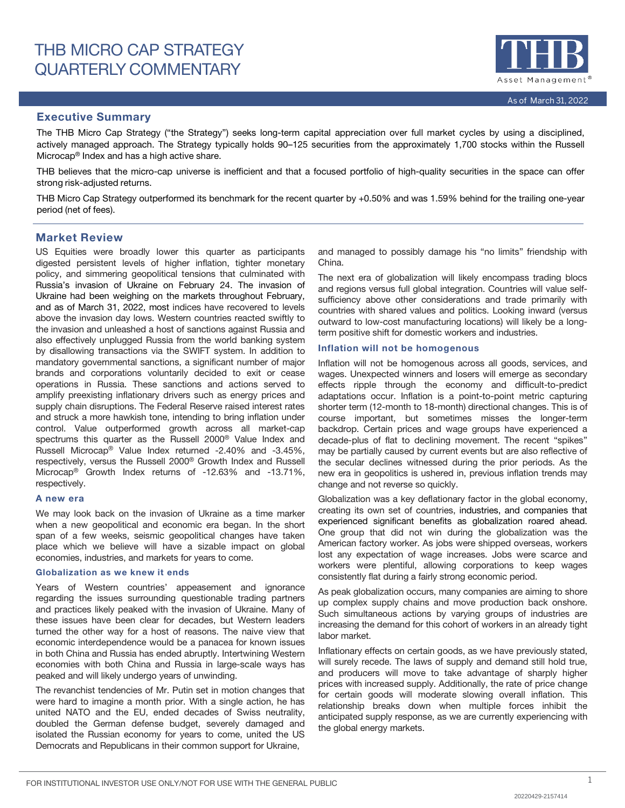

# Executive Summary

The THB Micro Cap Strategy ("the Strategy") seeks long-term capital appreciation over full market cycles by using a disciplined, actively managed approach. The Strategy typically holds 90–125 securities from the approximately 1,700 stocks within the Russell Microcap® Index and has a high active share.

THB believes that the micro-cap universe is inefficient and that a focused portfolio of high-quality securities in the space can offer strong risk-adjusted returns.

THB Micro Cap Strategy outperformed its benchmark for the recent quarter by +0.50% and was 1.59% behind for the trailing one-year period (net of fees).

# Market Review

US Equities were broadly lower this quarter as participants digested persistent levels of higher inflation, tighter monetary policy, and simmering geopolitical tensions that culminated with Russia's invasion of Ukraine on February 24. The invasion of Ukraine had been weighing on the markets throughout February, and as of March 31, 2022, most indices have recovered to levels above the invasion day lows. Western countries reacted swiftly to the invasion and unleashed a host of sanctions against Russia and also effectively unplugged Russia from the world banking system by disallowing transactions via the SWIFT system. In addition to mandatory governmental sanctions, a significant number of major brands and corporations voluntarily decided to exit or cease operations in Russia. These sanctions and actions served to amplify preexisting inflationary drivers such as energy prices and supply chain disruptions. The Federal Reserve raised interest rates and struck a more hawkish tone, intending to bring inflation under control. Value outperformed growth across all market-cap spectrums this quarter as the Russell 2000® Value Index and Russell Microcap® Value Index returned -2.40% and -3.45%, respectively, versus the Russell 2000® Growth Index and Russell Microcap® Growth Index returns of -12.63% and -13.71%, respectively.

### A new era

We may look back on the invasion of Ukraine as a time marker when a new geopolitical and economic era began. In the short span of a few weeks, seismic geopolitical changes have taken place which we believe will have a sizable impact on global economies, industries, and markets for years to come.

# Globalization as we knew it ends

Years of Western countries' appeasement and ignorance regarding the issues surrounding questionable trading partners and practices likely peaked with the invasion of Ukraine. Many of these issues have been clear for decades, but Western leaders turned the other way for a host of reasons. The naive view that economic interdependence would be a panacea for known issues in both China and Russia has ended abruptly. Intertwining Western economies with both China and Russia in large-scale ways has peaked and will likely undergo years of unwinding.

The revanchist tendencies of Mr. Putin set in motion changes that were hard to imagine a month prior. With a single action, he has united NATO and the EU, ended decades of Swiss neutrality, doubled the German defense budget, severely damaged and isolated the Russian economy for years to come, united the US Democrats and Republicans in their common support for Ukraine,

and managed to possibly damage his "no limits" friendship with China.

The next era of globalization will likely encompass trading blocs and regions versus full global integration. Countries will value selfsufficiency above other considerations and trade primarily with countries with shared values and politics. Looking inward (versus outward to low-cost manufacturing locations) will likely be a longterm positive shift for domestic workers and industries.

# Inflation will not be homogenous

Inflation will not be homogenous across all goods, services, and wages. Unexpected winners and losers will emerge as secondary effects ripple through the economy and difficult-to-predict adaptations occur. Inflation is a point-to-point metric capturing shorter term (12-month to 18-month) directional changes. This is of course important, but sometimes misses the longer-term backdrop. Certain prices and wage groups have experienced a decade-plus of flat to declining movement. The recent "spikes" may be partially caused by current events but are also reflective of the secular declines witnessed during the prior periods. As the new era in geopolitics is ushered in, previous inflation trends may change and not reverse so quickly.

Globalization was a key deflationary factor in the global economy, creating its own set of countries, industries, and companies that experienced significant benefits as globalization roared ahead. One group that did not win during the globalization was the American factory worker. As jobs were shipped overseas, workers lost any expectation of wage increases. Jobs were scarce and workers were plentiful, allowing corporations to keep wages consistently flat during a fairly strong economic period.

As peak globalization occurs, many companies are aiming to shore up complex supply chains and move production back onshore. Such simultaneous actions by varying groups of industries are increasing the demand for this cohort of workers in an already tight labor market.

Inflationary effects on certain goods, as we have previously stated, will surely recede. The laws of supply and demand still hold true, and producers will move to take advantage of sharply higher prices with increased supply. Additionally, the rate of price change for certain goods will moderate slowing overall inflation. This relationship breaks down when multiple forces inhibit the anticipated supply response, as we are currently experiencing with the global energy markets.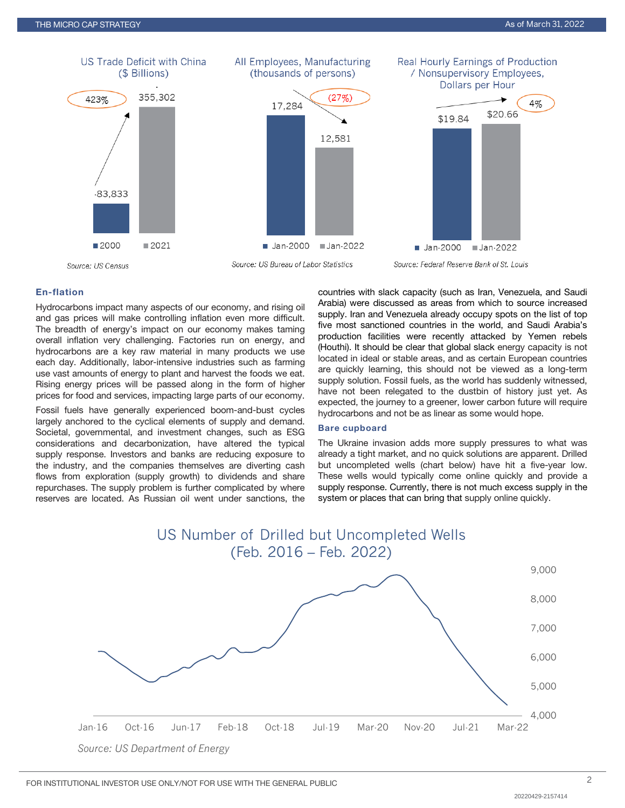

# En-flation

Hydrocarbons impact many aspects of our economy, and rising oil and gas prices will make controlling inflation even more difficult. The breadth of energy's impact on our economy makes taming overall inflation very challenging. Factories run on energy, and hydrocarbons are a key raw material in many products we use each day. Additionally, labor-intensive industries such as farming use vast amounts of energy to plant and harvest the foods we eat. Rising energy prices will be passed along in the form of higher prices for food and services, impacting large parts of our economy.

Fossil fuels have generally experienced boom-and-bust cycles largely anchored to the cyclical elements of supply and demand. Societal, governmental, and investment changes, such as ESG considerations and decarbonization, have altered the typical supply response. Investors and banks are reducing exposure to the industry, and the companies themselves are diverting cash flows from exploration (supply growth) to dividends and share repurchases. The supply problem is further complicated by where reserves are located. As Russian oil went under sanctions, the countries with slack capacity (such as Iran, Venezuela, and Saudi Arabia) were discussed as areas from which to source increased supply. Iran and Venezuela already occupy spots on the list of top five most sanctioned countries in the world, and Saudi Arabia's production facilities were recently attacked by Yemen rebels (Houthi). It should be clear that global slack energy capacity is not located in ideal or stable areas, and as certain European countries are quickly learning, this should not be viewed as a long-term supply solution. Fossil fuels, as the world has suddenly witnessed, have not been relegated to the dustbin of history just yet. As expected, the journey to a greener, lower carbon future will require hydrocarbons and not be as linear as some would hope.

#### Bare cupboard

The Ukraine invasion adds more supply pressures to what was already a tight market, and no quick solutions are apparent. Drilled but uncompleted wells (chart below) have hit a five-year low. These wells would typically come online quickly and provide a supply response. Currently, there is not much excess supply in the system or places that can bring that supply online quickly.

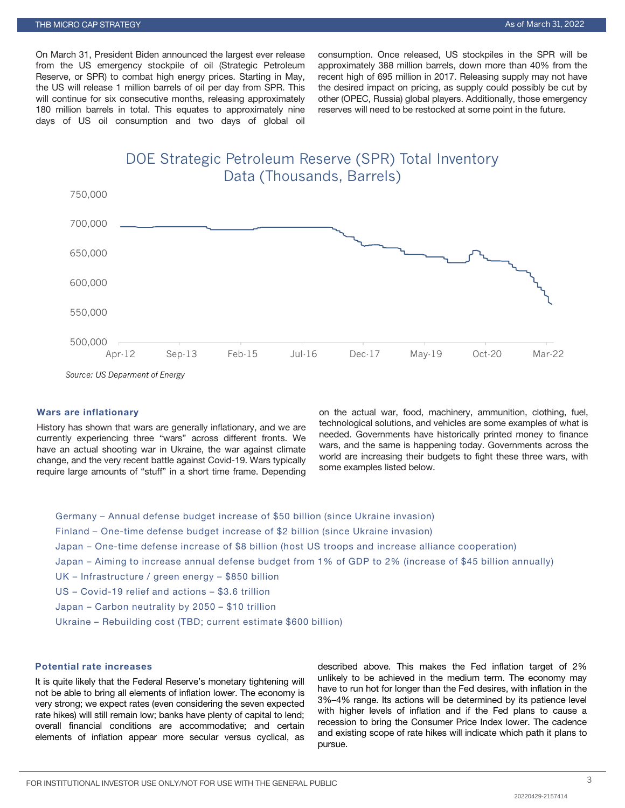On March 31, President Biden announced the largest ever release from the US emergency stockpile of oil (Strategic Petroleum Reserve, or SPR) to combat high energy prices. Starting in May, the US will release 1 million barrels of oil per day from SPR. This will continue for six consecutive months, releasing approximately 180 million barrels in total. This equates to approximately nine days of US oil consumption and two days of global oil consumption. Once released, US stockpiles in the SPR will be approximately 388 million barrels, down more than 40% from the recent high of 695 million in 2017. Releasing supply may not have the desired impact on pricing, as supply could possibly be cut by other (OPEC, Russia) global players. Additionally, those emergency reserves will need to be restocked at some point in the future.

DOE Strategic Petroleum Reserve (SPR) Total Inventory Data (Thousands, Barrels)



*Source: US Deparment of Energy*

# Wars are inflationary

History has shown that wars are generally inflationary, and we are currently experiencing three "wars" across different fronts. We have an actual shooting war in Ukraine, the war against climate change, and the very recent battle against Covid-19. Wars typically require large amounts of "stuff" in a short time frame. Depending

on the actual war, food, machinery, ammunition, clothing, fuel, technological solutions, and vehicles are some examples of what is needed. Governments have historically printed money to finance wars, and the same is happening today. Governments across the world are increasing their budgets to fight these three wars, with some examples listed below.

Germany – Annual defense budget increase of \$50 billion (since Ukraine invasion) Finland – One-time defense budget increase of \$2 billion (since Ukraine invasion) Japan – One-time defense increase of \$8 billion (host US troops and increase alliance cooperation) Japan – Aiming to increase annual defense budget from 1% of GDP to 2% (increase of \$45 billion annually) UK – Infrastructure / green energy – \$850 billion US – Covid-19 relief and actions – \$3.6 trillion Japan – Carbon neutrality by 2050 – \$10 trillion Ukraine – Rebuilding cost (TBD; current estimate \$600 billion)

# Potential rate increases

It is quite likely that the Federal Reserve's monetary tightening will not be able to bring all elements of inflation lower. The economy is very strong; we expect rates (even considering the seven expected rate hikes) will still remain low; banks have plenty of capital to lend; overall financial conditions are accommodative; and certain elements of inflation appear more secular versus cyclical, as

described above. This makes the Fed inflation target of 2% unlikely to be achieved in the medium term. The economy may have to run hot for longer than the Fed desires, with inflation in the 3%–4% range. Its actions will be determined by its patience level with higher levels of inflation and if the Fed plans to cause a recession to bring the Consumer Price Index lower. The cadence and existing scope of rate hikes will indicate which path it plans to pursue.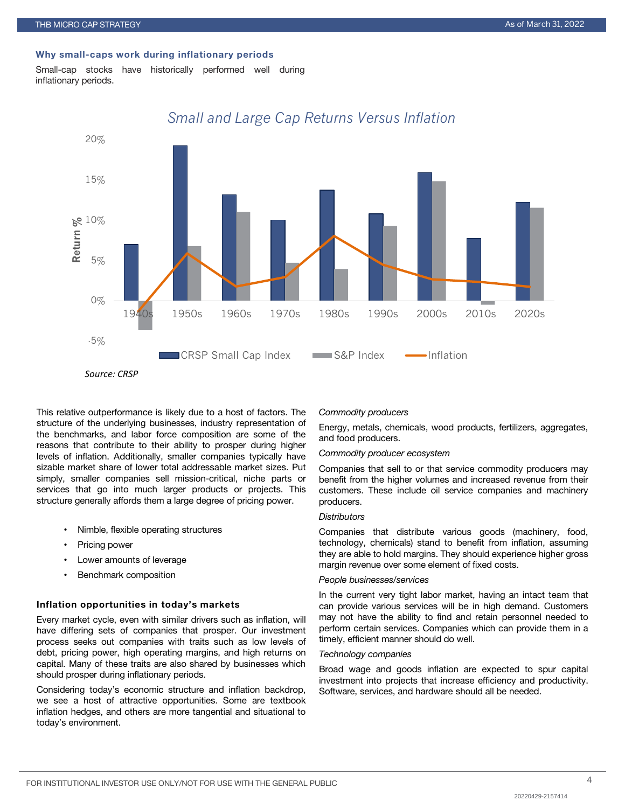# Why small-caps work during inflationary periods

Small-cap stocks have historically performed well during inflationary periods.



# *Small and Large Cap Returns Versus Inflation*

This relative outperformance is likely due to a host of factors. The structure of the underlying businesses, industry representation of the benchmarks, and labor force composition are some of the reasons that contribute to their ability to prosper during higher levels of inflation. Additionally, smaller companies typically have sizable market share of lower total addressable market sizes. Put simply, smaller companies sell mission-critical, niche parts or services that go into much larger products or projects. This structure generally affords them a large degree of pricing power.

- Nimble, flexible operating structures
- Pricing power
- Lower amounts of leverage
- Benchmark composition

# Inflation opportunities in today's markets

Every market cycle, even with similar drivers such as inflation, will have differing sets of companies that prosper. Our investment process seeks out companies with traits such as low levels of debt, pricing power, high operating margins, and high returns on capital. Many of these traits are also shared by businesses which should prosper during inflationary periods.

Considering today's economic structure and inflation backdrop, we see a host of attractive opportunities. Some are textbook inflation hedges, and others are more tangential and situational to today's environment.

#### *Commodity producers*

Energy, metals, chemicals, wood products, fertilizers, aggregates, and food producers.

#### *Commodity producer ecosystem*

Companies that sell to or that service commodity producers may benefit from the higher volumes and increased revenue from their customers. These include oil service companies and machinery producers.

#### *Distributors*

Companies that distribute various goods (machinery, food, technology, chemicals) stand to benefit from inflation, assuming they are able to hold margins. They should experience higher gross margin revenue over some element of fixed costs.

#### *People businesses/services*

In the current very tight labor market, having an intact team that can provide various services will be in high demand. Customers may not have the ability to find and retain personnel needed to perform certain services. Companies which can provide them in a timely, efficient manner should do well.

#### *Technology companies*

Broad wage and goods inflation are expected to spur capital investment into projects that increase efficiency and productivity. Software, services, and hardware should all be needed.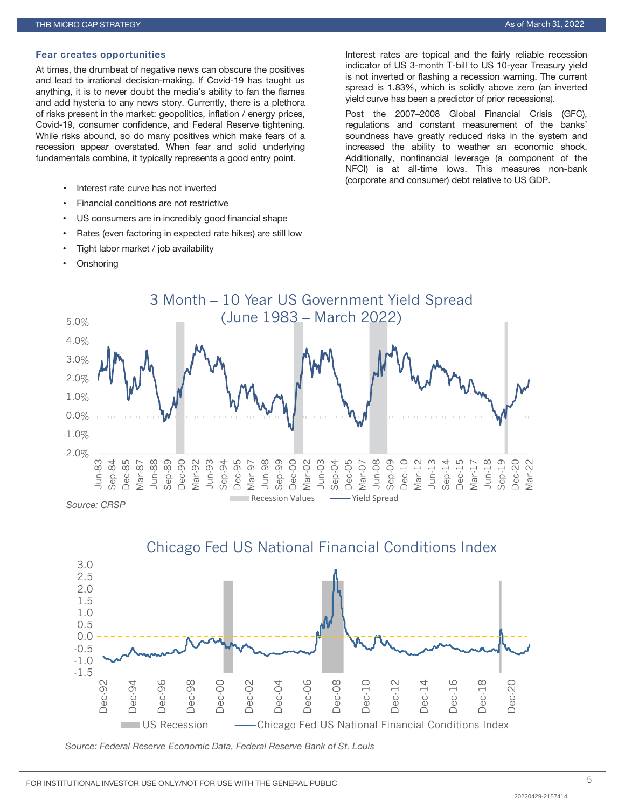#### Fear creates opportunities

At times, the drumbeat of negative news can obscure the positives and lead to irrational decision-making. If Covid-19 has taught us anything, it is to never doubt the media's ability to fan the flames and add hysteria to any news story. Currently, there is a plethora of risks present in the market: geopolitics, inflation / energy prices, Covid-19, consumer confidence, and Federal Reserve tightening. While risks abound, so do many positives which make fears of a recession appear overstated. When fear and solid underlying fundamentals combine, it typically represents a good entry point.

- Interest rate curve has not inverted
- Financial conditions are not restrictive
- US consumers are in incredibly good financial shape
- Rates (even factoring in expected rate hikes) are still low
- Tight labor market / job availability
- **Onshoring**

Interest rates are topical and the fairly reliable recession indicator of US 3-month T-bill to US 10-year Treasury yield is not inverted or flashing a recession warning. The current spread is 1.83%, which is solidly above zero (an inverted yield curve has been a predictor of prior recessions).

Post the 2007–2008 Global Financial Crisis (GFC), regulations and constant measurement of the banks' soundness have greatly reduced risks in the system and increased the ability to weather an economic shock. Additionally, nonfinancial leverage (a component of the NFCI) is at all-time lows. This measures non-bank (corporate and consumer) debt relative to US GDP.





*Source: Federal Reserve Economic Data, Federal Reserve Bank of St. Louis*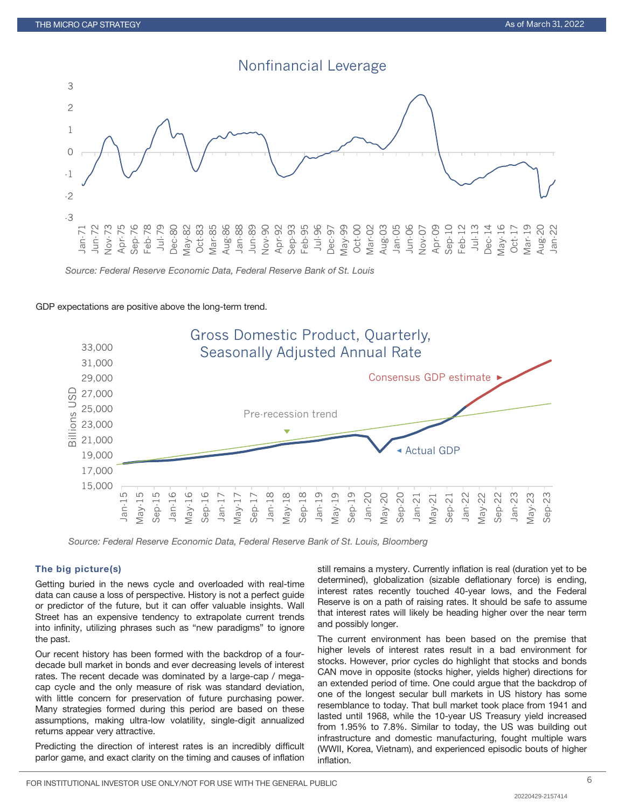

*Source: Federal Reserve Economic Data, Federal Reserve Bank of St. Louis*

#### GDP expectations are positive above the long-term trend.



*Source: Federal Reserve Economic Data, Federal Reserve Bank of St. Louis, Bloomberg*

# The big picture(s)

Getting buried in the news cycle and overloaded with real-time data can cause a loss of perspective. History is not a perfect guide or predictor of the future, but it can offer valuable insights. Wall Street has an expensive tendency to extrapolate current trends into infinity, utilizing phrases such as "new paradigms" to ignore the past.

Our recent history has been formed with the backdrop of a fourdecade bull market in bonds and ever decreasing levels of interest rates. The recent decade was dominated by a large-cap / megacap cycle and the only measure of risk was standard deviation, with little concern for preservation of future purchasing power. Many strategies formed during this period are based on these assumptions, making ultra-low volatility, single-digit annualized returns appear very attractive.

Predicting the direction of interest rates is an incredibly difficult parlor game, and exact clarity on the timing and causes of inflation

still remains a mystery. Currently inflation is real (duration yet to be determined), globalization (sizable deflationary force) is ending, interest rates recently touched 40-year lows, and the Federal Reserve is on a path of raising rates. It should be safe to assume that interest rates will likely be heading higher over the near term and possibly longer.

The current environment has been based on the premise that higher levels of interest rates result in a bad environment for stocks. However, prior cycles do highlight that stocks and bonds CAN move in opposite (stocks higher, yields higher) directions for an extended period of time. One could argue that the backdrop of one of the longest secular bull markets in US history has some resemblance to today. That bull market took place from 1941 and lasted until 1968, while the 10-year US Treasury yield increased from 1.95% to 7.8%. Similar to today, the US was building out infrastructure and domestic manufacturing, fought multiple wars (WWII, Korea, Vietnam), and experienced episodic bouts of higher inflation.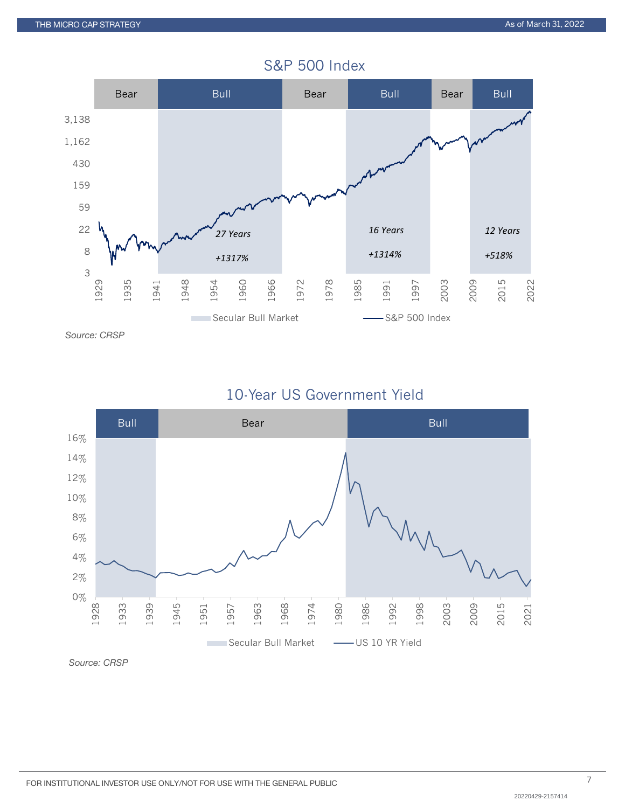

# S&P 500 Index

10-Year US Government Yield



*Source: CRSP*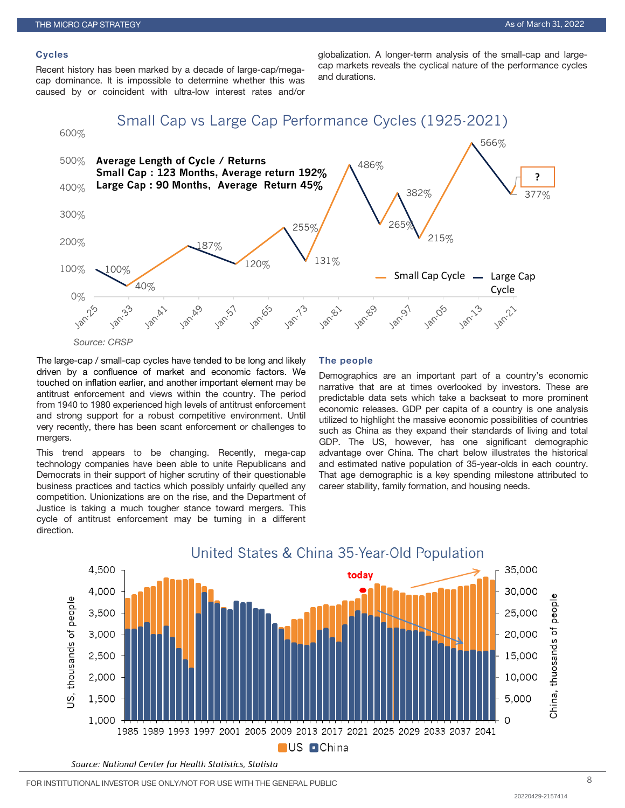# **Cycles**

Recent history has been marked by a decade of large-cap/megacap dominance. It is impossible to determine whether this was caused by or coincident with ultra-low interest rates and/or

globalization. A longer-term analysis of the small-cap and largecap markets reveals the cyclical nature of the performance cycles and durations.

Small Cap vs Large Cap Performance Cycles (1925-2021)



The large-cap / small-cap cycles have tended to be long and likely driven by a confluence of market and economic factors. We touched on inflation earlier, and another important element may be antitrust enforcement and views within the country. The period from 1940 to 1980 experienced high levels of antitrust enforcement and strong support for a robust competitive environment. Until very recently, there has been scant enforcement or challenges to mergers.

This trend appears to be changing. Recently, mega-cap technology companies have been able to unite Republicans and Democrats in their support of higher scrutiny of their questionable business practices and tactics which possibly unfairly quelled any competition. Unionizations are on the rise, and the Department of Justice is taking a much tougher stance toward mergers. This cycle of antitrust enforcement may be turning in a different direction.

#### The people

Demographics are an important part of a country's economic narrative that are at times overlooked by investors. These are predictable data sets which take a backseat to more prominent economic releases. GDP per capita of a country is one analysis utilized to highlight the massive economic possibilities of countries such as China as they expand their standards of living and total GDP. The US, however, has one significant demographic advantage over China. The chart below illustrates the historical and estimated native population of 35-year-olds in each country. That age demographic is a key spending milestone attributed to career stability, family formation, and housing needs.



8 FOR INSTITUTIONAL INVESTOR USE ONLY/NOT FOR USE WITH THE GENERAL PUBLIC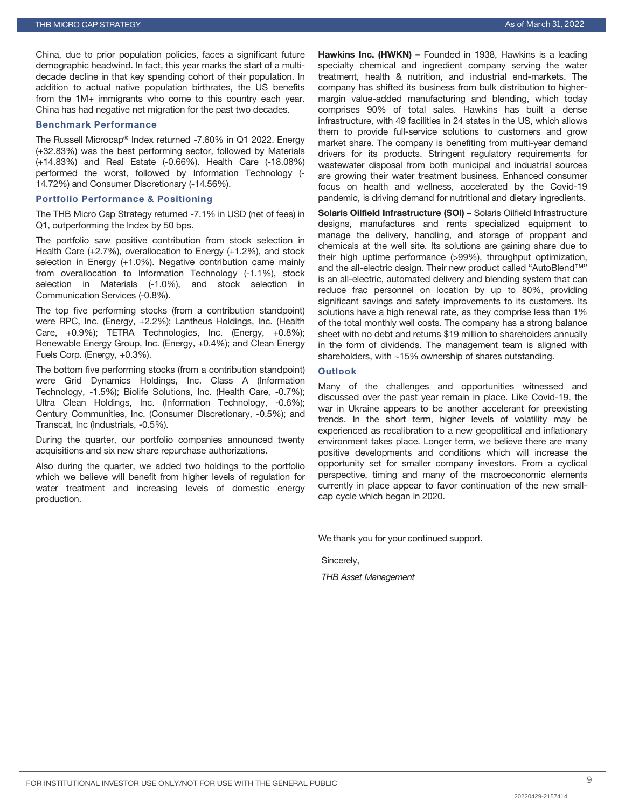China, due to prior population policies, faces a significant future demographic headwind. In fact, this year marks the start of a multidecade decline in that key spending cohort of their population. In addition to actual native population birthrates, the US benefits from the 1M+ immigrants who come to this country each year. China has had negative net migration for the past two decades.

# Benchmark Performance

The Russell Microcap® Index returned -7.60% in Q1 2022. Energy (+32.83%) was the best performing sector, followed by Materials (+14.83%) and Real Estate (-0.66%). Health Care (-18.08%) performed the worst, followed by Information Technology (- 14.72%) and Consumer Discretionary (-14.56%).

#### Portfolio Performance & Positioning

The THB Micro Cap Strategy returned -7.1% in USD (net of fees) in Q1, outperforming the Index by 50 bps.

The portfolio saw positive contribution from stock selection in Health Care (+2.7%), overallocation to Energy (+1.2%), and stock selection in Energy (+1.0%). Negative contribution came mainly from overallocation to Information Technology (-1.1%), stock selection in Materials (-1.0%), and stock selection in Communication Services (-0.8%).

The top five performing stocks (from a contribution standpoint) were RPC, Inc. (Energy, +2.2%); Lantheus Holdings, Inc. (Health Care, +0.9%); TETRA Technologies, Inc. (Energy, +0.8%); Renewable Energy Group, Inc. (Energy, +0.4%); and Clean Energy Fuels Corp. (Energy, +0.3%).

The bottom five performing stocks (from a contribution standpoint) were Grid Dynamics Holdings, Inc. Class A (Information Technology, -1.5%); Biolife Solutions, Inc. (Health Care, -0.7%); Ultra Clean Holdings, Inc. (Information Technology, -0.6%); Century Communities, Inc. (Consumer Discretionary, -0.5%); and Transcat, Inc (Industrials, -0.5%).

During the quarter, our portfolio companies announced twenty acquisitions and six new share repurchase authorizations.

Also during the quarter, we added two holdings to the portfolio which we believe will benefit from higher levels of regulation for water treatment and increasing levels of domestic energy production.

Hawkins Inc. (HWKN) - Founded in 1938, Hawkins is a leading specialty chemical and ingredient company serving the water treatment, health & nutrition, and industrial end-markets. The company has shifted its business from bulk distribution to highermargin value-added manufacturing and blending, which today comprises 90% of total sales. Hawkins has built a dense infrastructure, with 49 facilities in 24 states in the US, which allows them to provide full-service solutions to customers and grow market share. The company is benefiting from multi-year demand drivers for its products. Stringent regulatory requirements for wastewater disposal from both municipal and industrial sources are growing their water treatment business. Enhanced consumer focus on health and wellness, accelerated by the Covid-19 pandemic, is driving demand for nutritional and dietary ingredients.

Solaris Oilfield Infrastructure (SOI) - Solaris Oilfield Infrastructure designs, manufactures and rents specialized equipment to manage the delivery, handling, and storage of proppant and chemicals at the well site. Its solutions are gaining share due to their high uptime performance (>99%), throughput optimization, and the all-electric design. Their new product called "AutoBlend™" is an all-electric, automated delivery and blending system that can reduce frac personnel on location by up to 80%, providing significant savings and safety improvements to its customers. Its solutions have a high renewal rate, as they comprise less than 1% of the total monthly well costs. The company has a strong balance sheet with no debt and returns \$19 million to shareholders annually in the form of dividends. The management team is aligned with shareholders, with ~15% ownership of shares outstanding.

#### **Outlook**

Many of the challenges and opportunities witnessed and discussed over the past year remain in place. Like Covid-19, the war in Ukraine appears to be another accelerant for preexisting trends. In the short term, higher levels of volatility may be experienced as recalibration to a new geopolitical and inflationary environment takes place. Longer term, we believe there are many positive developments and conditions which will increase the opportunity set for smaller company investors. From a cyclical perspective, timing and many of the macroeconomic elements currently in place appear to favor continuation of the new smallcap cycle which began in 2020.

We thank you for your continued support.

Sincerely,

*THB Asset Management*